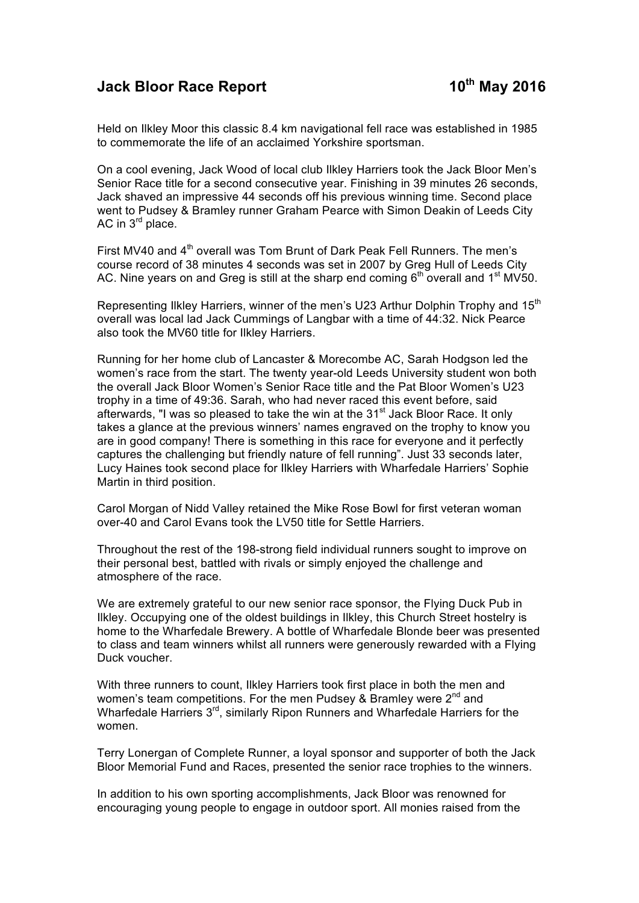## **Jack Bloor Race Report 10th May 2016**

Held on Ilkley Moor this classic 8.4 km navigational fell race was established in 1985 to commemorate the life of an acclaimed Yorkshire sportsman.

On a cool evening, Jack Wood of local club Ilkley Harriers took the Jack Bloor Men's Senior Race title for a second consecutive year. Finishing in 39 minutes 26 seconds, Jack shaved an impressive 44 seconds off his previous winning time. Second place went to Pudsey & Bramley runner Graham Pearce with Simon Deakin of Leeds City AC in  $3<sup>rd</sup>$  place.

First MV40 and 4<sup>th</sup> overall was Tom Brunt of Dark Peak Fell Runners. The men's course record of 38 minutes 4 seconds was set in 2007 by Greg Hull of Leeds City AC. Nine years on and Greg is still at the sharp end coming  $6<sup>th</sup>$  overall and  $1<sup>st</sup>$  MV50.

Representing Ilkley Harriers, winner of the men's U23 Arthur Dolphin Trophy and 15<sup>th</sup> overall was local lad Jack Cummings of Langbar with a time of 44:32. Nick Pearce also took the MV60 title for Ilkley Harriers.

Running for her home club of Lancaster & Morecombe AC, Sarah Hodgson led the women's race from the start. The twenty year-old Leeds University student won both the overall Jack Bloor Women's Senior Race title and the Pat Bloor Women's U23 trophy in a time of 49:36. Sarah, who had never raced this event before, said afterwards, "I was so pleased to take the win at the 31<sup>st</sup> Jack Bloor Race. It only takes a glance at the previous winners' names engraved on the trophy to know you are in good company! There is something in this race for everyone and it perfectly captures the challenging but friendly nature of fell running". Just 33 seconds later, Lucy Haines took second place for Ilkley Harriers with Wharfedale Harriers' Sophie Martin in third position.

Carol Morgan of Nidd Valley retained the Mike Rose Bowl for first veteran woman over-40 and Carol Evans took the LV50 title for Settle Harriers.

Throughout the rest of the 198-strong field individual runners sought to improve on their personal best, battled with rivals or simply enjoyed the challenge and atmosphere of the race.

We are extremely grateful to our new senior race sponsor, the Flying Duck Pub in Ilkley. Occupying one of the oldest buildings in Ilkley, this Church Street hostelry is home to the Wharfedale Brewery. A bottle of Wharfedale Blonde beer was presented to class and team winners whilst all runners were generously rewarded with a Flying Duck voucher.

With three runners to count, Ilkley Harriers took first place in both the men and women's team competitions. For the men Pudsey & Bramley were 2<sup>nd</sup> and Wharfedale Harriers 3<sup>rd</sup>, similarly Ripon Runners and Wharfedale Harriers for the women.

Terry Lonergan of Complete Runner, a loyal sponsor and supporter of both the Jack Bloor Memorial Fund and Races, presented the senior race trophies to the winners.

In addition to his own sporting accomplishments, Jack Bloor was renowned for encouraging young people to engage in outdoor sport. All monies raised from the